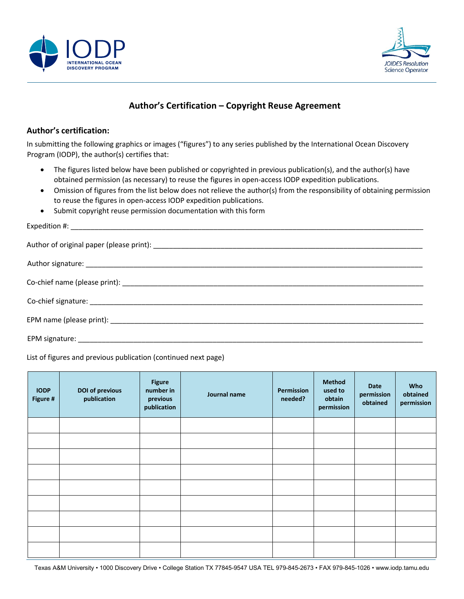



## **Author's Certification – Copyright Reuse Agreement**

## **Author's certification:**

In submitting the following graphics or images ("figures") to any series published by the International Ocean Discovery Program (IODP), the author(s) certifies that:

- The figures listed below have been published or copyrighted in previous publication(s), and the author(s) have obtained permission (as necessary) to reuse the figures in open-access IODP expedition publications.
- Omission of figures from the list below does not relieve the author(s) from the responsibility of obtaining permission to reuse the figures in open-access IODP expedition publications.
- Submit copyright reuse permission documentation with this form

## List of figures and previous publication (continued next page)

| <b>IODP</b><br>Figure # | <b>DOI of previous</b><br>publication | <b>Figure</b><br>number in<br>previous<br>publication | Journal name | Permission<br>needed? | <b>Method</b><br>used to<br>obtain<br>permission | <b>Date</b><br>permission<br>obtained | Who<br>obtained<br>permission |
|-------------------------|---------------------------------------|-------------------------------------------------------|--------------|-----------------------|--------------------------------------------------|---------------------------------------|-------------------------------|
|                         |                                       |                                                       |              |                       |                                                  |                                       |                               |
|                         |                                       |                                                       |              |                       |                                                  |                                       |                               |
|                         |                                       |                                                       |              |                       |                                                  |                                       |                               |
|                         |                                       |                                                       |              |                       |                                                  |                                       |                               |
|                         |                                       |                                                       |              |                       |                                                  |                                       |                               |
|                         |                                       |                                                       |              |                       |                                                  |                                       |                               |
|                         |                                       |                                                       |              |                       |                                                  |                                       |                               |
|                         |                                       |                                                       |              |                       |                                                  |                                       |                               |
|                         |                                       |                                                       |              |                       |                                                  |                                       |                               |